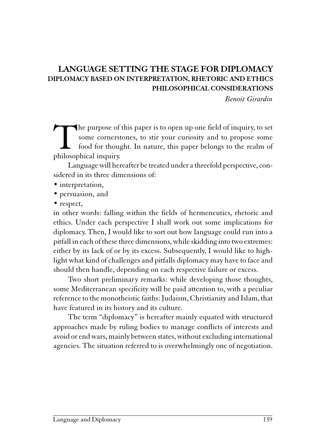# LANGUAGE SETTING THE STAGE FOR DIPLOMACY DIPLOMACY BASED ON INTERPRETATION, RHETORIC AND ETHICS PHILOSOPHICAL CONSIDERATIONS

Benoit Girardin

The purpose of this paper is to open up one field of inquiry, to set some cornerstones, to stir your curiosity and to propose some food for thought. In nature, this paper belongs to the realm of philosophical inquiry. some cornerstones, to stir your curiosity and to propose some food for thought. In nature, this paper belongs to the realm of philosophical inquiry.

Language will hereafter be treated under a threefold perspective, considered in its three dimensions of:

- interpretation,
- persuasion, and
- respect,

in other words: falling within the fields of hermeneutics, rhetoric and ethics. Under each perspective I shall work out some implications for diplomacy. Then, I would like to sort out how language could run into a pitfall in each of these three dimensions, while skidding into two extremes: either by its lack of or by its excess. Subsequently, I would like to highlight what kind of challenges and pitfalls diplomacy may have to face and should then handle, depending on each respective failure or excess.

Two short preliminary remarks: while developing those thoughts, some Mediterranean specificity will be paid attention to, with a peculiar reference to the monotheistic faiths: Judaism, Christianity and Islam, that have featured in its history and its culture.

The term "diplomacy" is hereafter mainly equated with structured approaches made by ruling bodies to manage conflicts of interests and avoid or end wars, mainly between states, without excluding international agencies. The situation referred to is overwhelmingly one of negotiation.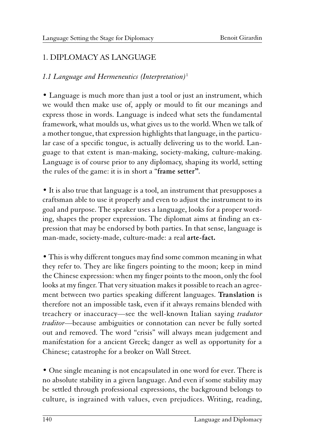# 1. DIPLOMACY AS LANGUAGE

#### 1.1 Language and Hermeneutics (Interpretation)<sup>1</sup>

• Language is much more than just a tool or just an instrument, which we would then make use of, apply or mould to fit our meanings and express those in words. Language is indeed what sets the fundamental framework, what moulds us, what gives us to the world. When we talk of a mother tongue, that expression highlights that language, in the particular case of a specific tongue, is actually delivering us to the world. Language to that extent is man-making, society-making, culture-making. Language is of course prior to any diplomacy, shaping its world, setting the rules of the game: it is in short a "frame setter".

• It is also true that language is a tool, an instrument that presupposes a craftsman able to use it properly and even to adjust the instrument to its goal and purpose. The speaker uses a language, looks for a proper wording, shapes the proper expression. The diplomat aims at finding an expression that may be endorsed by both parties. In that sense, language is man-made, society-made, culture-made: a real arte-fact.

• This is why different tongues may find some common meaning in what they refer to. They are like fingers pointing to the moon; keep in mind the Chinese expression: when my finger points to the moon, only the fool looks at my finger. That very situation makes it possible to reach an agreement between two parties speaking different languages. Translation is therefore not an impossible task, even if it always remains blended with treachery or inaccuracy—see the well-known Italian saying *tradutor* traditor—because ambiguities or connotation can never be fully sorted out and removed. The word "crisis" will always mean judgement and manifestation for a ancient Greek; danger as well as opportunity for a Chinese; catastrophe for a broker on Wall Street.

• One single meaning is not encapsulated in one word for ever. There is no absolute stability in a given language. And even if some stability may be settled through professional expressions, the background belongs to culture, is ingrained with values, even prejudices. Writing, reading,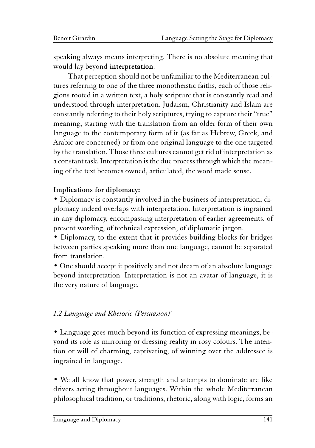speaking always means interpreting. There is no absolute meaning that would lay beyond interpretation.

That perception should not be unfamiliar to the Mediterranean cultures referring to one of the three monotheistic faiths, each of those religions rooted in a written text, a holy scripture that is constantly read and understood through interpretation. Judaism, Christianity and Islam are constantly referring to their holy scriptures, trying to capture their "true" meaning, starting with the translation from an older form of their own language to the contemporary form of it (as far as Hebrew, Greek, and Arabic are concerned) or from one original language to the one targeted by the translation. Those three cultures cannot get rid of interpretation as a constant task. Interpretation is the due process through which the meaning of the text becomes owned, articulated, the word made sense.

#### Implications for diplomacy:

• Diplomacy is constantly involved in the business of interpretation; diplomacy indeed overlaps with interpretation. Interpretation is ingrained in any diplomacy, encompassing interpretation of earlier agreements, of present wording, of technical expression, of diplomatic jargon.

• Diplomacy, to the extent that it provides building blocks for bridges between parties speaking more than one language, cannot be separated from translation.

• One should accept it positively and not dream of an absolute language beyond interpretation. Interpretation is not an avatar of language, it is the very nature of language.

# 1.2 Language and Rhetoric (Persuasion)<sup>2</sup>

• Language goes much beyond its function of expressing meanings, beyond its role as mirroring or dressing reality in rosy colours. The intention or will of charming, captivating, of winning over the addressee is ingrained in language.

• We all know that power, strength and attempts to dominate are like drivers acting throughout languages. Within the whole Mediterranean philosophical tradition, or traditions, rhetoric, along with logic, forms an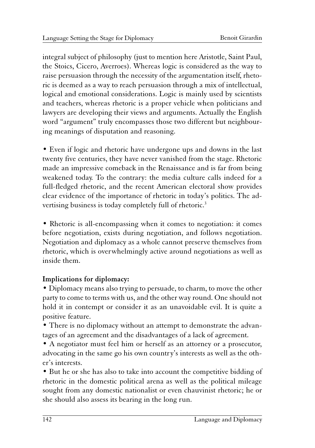integral subject of philosophy (just to mention here Aristotle, Saint Paul, the Stoics, Cicero, Averroes). Whereas logic is considered as the way to raise persuasion through the necessity of the argumentation itself, rhetoric is deemed as a way to reach persuasion through a mix of intellectual, logical and emotional considerations. Logic is mainly used by scientists and teachers, whereas rhetoric is a proper vehicle when politicians and lawyers are developing their views and arguments. Actually the English word "argument" truly encompasses those two different but neighbouring meanings of disputation and reasoning.

• Even if logic and rhetoric have undergone ups and downs in the last twenty five centuries, they have never vanished from the stage. Rhetoric made an impressive comeback in the Renaissance and is far from being weakened today. To the contrary: the media culture calls indeed for a full-fledged rhetoric, and the recent American electoral show provides clear evidence of the importance of rhetoric in today's politics. The advertising business is today completely full of rhetoric.<sup>3</sup>

• Rhetoric is all-encompassing when it comes to negotiation: it comes before negotiation, exists during negotiation, and follows negotiation. Negotiation and diplomacy as a whole cannot preserve themselves from rhetoric, which is overwhelmingly active around negotiations as well as inside them.

# Implications for diplomacy:

• Diplomacy means also trying to persuade, to charm, to move the other party to come to terms with us, and the other way round. One should not hold it in contempt or consider it as an unavoidable evil. It is quite a positive feature.

• There is no diplomacy without an attempt to demonstrate the advantages of an agreement and the disadvantages of a lack of agreement.

• A negotiator must feel him or herself as an attorney or a prosecutor, advocating in the same go his own country's interests as well as the other's interests.

• But he or she has also to take into account the competitive bidding of rhetoric in the domestic political arena as well as the political mileage sought from any domestic nationalist or even chauvinist rhetoric; he or she should also assess its bearing in the long run.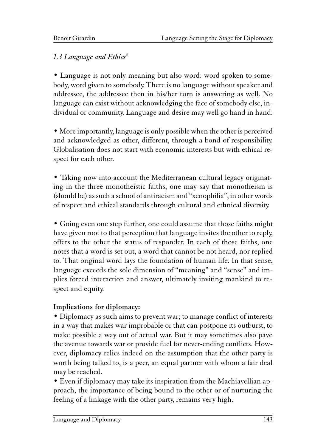# 1.3 Language and Ethics<sup>4</sup>

• Language is not only meaning but also word: word spoken to somebody, word given to somebody. There is no language without speaker and addressee, the addressee then in his/her turn is answering as well. No language can exist without acknowledging the face of somebody else, individual or community. Language and desire may well go hand in hand.

• More importantly, language is only possible when the other is perceived and acknowledged as other, different, through a bond of responsibility. Globalisation does not start with economic interests but with ethical respect for each other.

• Taking now into account the Mediterranean cultural legacy originating in the three monotheistic faiths, one may say that monotheism is (should be) as such a school of antiracism and "xenophilia", in other words of respect and ethical standards through cultural and ethnical diversity.

• Going even one step further, one could assume that those faiths might have given root to that perception that language invites the other to reply, offers to the other the status of responder. In each of those faiths, one notes that a word is set out, a word that cannot be not heard, nor replied to. That original word lays the foundation of human life. In that sense, language exceeds the sole dimension of "meaning" and "sense" and implies forced interaction and answer, ultimately inviting mankind to respect and equity.

# Implications for diplomacy:

• Diplomacy as such aims to prevent war; to manage conflict of interests in a way that makes war improbable or that can postpone its outburst, to make possible a way out of actual war. But it may sometimes also pave the avenue towards war or provide fuel for never-ending conflicts. However, diplomacy relies indeed on the assumption that the other party is worth being talked to, is a peer, an equal partner with whom a fair deal may be reached.

• Even if diplomacy may take its inspiration from the Machiavellian approach, the importance of being bound to the other or of nurturing the feeling of a linkage with the other party, remains very high.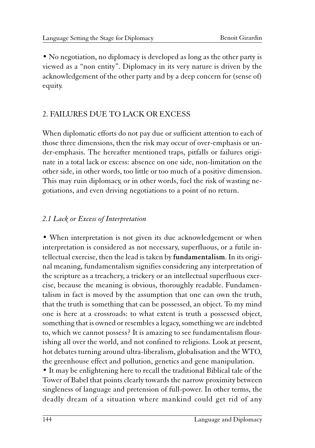• No negotiation, no diplomacy is developed as long as the other party is viewed as a "non entity". Diplomacy in its very nature is driven by the acknowledgement of the other party and by a deep concern for (sense of) equity.

# 2. FAILURES DUE TO LACK OR EXCESS

When diplomatic efforts do not pay due or sufficient attention to each of those three dimensions, then the risk may occur of over-emphasis or under-emphasis. The hereafter mentioned traps, pitfalls or failures originate in a total lack or excess: absence on one side, non-limitation on the other side, in other words, too little or too much of a positive dimension. This may ruin diplomacy, or in other words, fuel the risk of wasting negotiations, and even driving negotiations to a point of no return.

# 2.1 Lack or Excess of Interpretation

• When interpretation is not given its due acknowledgement or when interpretation is considered as not necessary, superfluous, or a futile intellectual exercise, then the lead is taken by fundamentalism. In its original meaning, fundamentalism signifies considering any interpretation of the scripture as a treachery, a trickery or an intellectual superfluous exercise, because the meaning is obvious, thoroughly readable. Fundamentalism in fact is moved by the assumption that one can own the truth, that the truth is something that can be possessed, an object. To my mind one is here at a crossroads: to what extent is truth a possessed object, something that is owned or resembles a legacy, something we are indebted to, which we cannot possess? It is amazing to see fundamentalism flourishing all over the world, and not confined to religions. Look at present, hot debates turning around ultra-liberalism, globalisation and the WTO, the greenhouse effect and pollution, genetics and gene manipulation.

• It may be enlightening here to recall the traditional Biblical tale of the Tower of Babel that points clearly towards the narrow proximity between singleness of language and pretension of full-power. In other terms, the deadly dream of a situation where mankind could get rid of any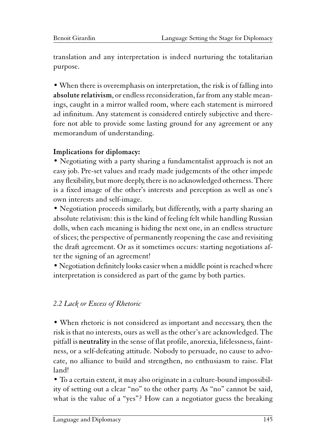translation and any interpretation is indeed nurturing the totalitarian purpose.

• When there is overemphasis on interpretation, the risk is of falling into absolute relativism, or endless reconsideration, far from any stable meanings, caught in a mirror walled room, where each statement is mirrored ad infinitum. Any statement is considered entirely subjective and therefore not able to provide some lasting ground for any agreement or any memorandum of understanding.

#### Implications for diplomacy:

• Negotiating with a party sharing a fundamentalist approach is not an easy job. Pre-set values and ready made judgements of the other impede any flexibility, but more deeply, there is no acknowledged otherness. There is a fixed image of the other's interests and perception as well as one's own interests and self-image.

• Negotiation proceeds similarly, but differently, with a party sharing an absolute relativism: this is the kind of feeling felt while handling Russian dolls, when each meaning is hiding the next one, in an endless structure of slices; the perspective of permanently reopening the case and revisiting the draft agreement. Or as it sometimes occurs: starting negotiations after the signing of an agreement!

• Negotiation definitely looks easier when a middle point is reached where interpretation is considered as part of the game by both parties.

#### 2.2 Lack or Excess of Rhetoric

• When rhetoric is not considered as important and necessary, then the risk is that no interests, ours as well as the other's are acknowledged. The pitfall is neutrality in the sense of flat profile, anorexia, lifelessness, faintness, or a self-defeating attitude. Nobody to persuade, no cause to advocate, no alliance to build and strengthen, no enthusiasm to raise. Flat land!

• To a certain extent, it may also originate in a culture-bound impossibility of setting out a clear "no" to the other party. As "no" cannot be said, what is the value of a "yes"? How can a negotiator guess the breaking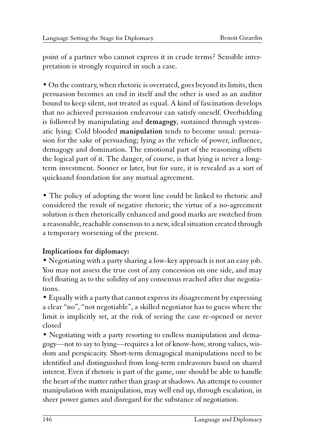point of a partner who cannot express it in crude terms? Sensible interpretation is strongly required in such a case.

• On the contrary, when rhetoric is overrated, goes beyond its limits, then persuasion becomes an end in itself and the other is used as an auditor bound to keep silent, not treated as equal. A kind of fascination develops that no achieved persuasion endeavour can satisfy oneself. Overbidding is followed by manipulating and demagogy, sustained through systematic lying. Cold blooded manipulation tends to become usual: persuasion for the sake of persuading; lying as the vehicle of power, influence, demagogy and domination. The emotional part of the reasoning offsets the logical part of it. The danger, of course, is that lying is never a longterm investment. Sooner or later, but for sure, it is revealed as a sort of quicksand foundation for any mutual agreement.

• The policy of adopting the worst line could be linked to rhetoric and considered the result of negative rhetoric; the virtue of a no-agreement solution is then rhetorically enhanced and good marks are switched from a reasonable, reachable consensus to a new, ideal situation created through a temporary worsening of the present.

#### Implications for diplomacy:

• Negotiating with a party sharing a low-key approach is not an easy job. You may not assess the true cost of any concession on one side, and may feel floating as to the solidity of any consensus reached after due negotiations.

• Equally with a party that cannot express its disagreement by expressing a clear "no", "not negotiable", a skilled negotiator has to guess where the limit is implicitly set, at the risk of seeing the case re-opened or never closed

• Negotiating with a party resorting to endless manipulation and demagogy—not to say to lying—requires a lot of know-how, strong values, wisdom and perspicacity. Short-term demagogical manipulations need to be identified and distinguished from long-term endeavours based on shared interest. Even if rhetoric is part of the game, one should be able to handle the heart of the matter rather than grasp at shadows. An attempt to counter manipulation with manipulation, may well end up, through escalation, in sheer power games and disregard for the substance of negotiation.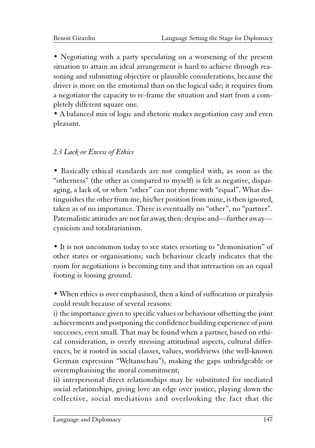• Negotiating with a party speculating on a worsening of the present situation to attain an ideal arrangement is hard to achieve through reasoning and submitting objective or plausible considerations, because the driver is more on the emotional than on the logical side; it requires from a negotiator the capacity to re-frame the situation and start from a completely different square one.

• A balanced mix of logic and rhetoric makes negotiation easy and even pleasant.

### 2.3 Lack or Excess of Ethics

• Basically ethical standards are not complied with, as soon as the "otherness" (the other as compared to myself) is felt as negative, disparaging, a lack of, or when "other" can not rhyme with "equal". What distinguishes the other from me, his/her position from mine, is then ignored, taken as of no importance. There is eventually no "other", no "partner". Paternalistic attitudes are not far away, then: despise and—further away cynicism and totalitarianism.

• It is not uncommon today to see states resorting to "demonisation" of other states or organisations; such behaviour clearly indicates that the room for negotiations is becoming tiny and that interaction on an equal footing is loosing ground.

• When ethics is over emphasised, then a kind of suffocation or paralysis could result because of several reasons:

i) the importance given to specific values or behaviour offsetting the joint achievements and postponing the confidence building experience of joint successes, even small. That may be found when a partner, based on ethical consideration, is overly stressing attitudinal aspects, cultural differences, be it rooted in social classes, values, worldviews (the well-known German expression "Weltanschau"), making the gaps unbridgeable or overemphasising the moral commitment;

ii) interpersonal direct relationships may be substituted for mediated social relationships, giving love an edge over justice, playing down the collective, social mediations and overlooking the fact that the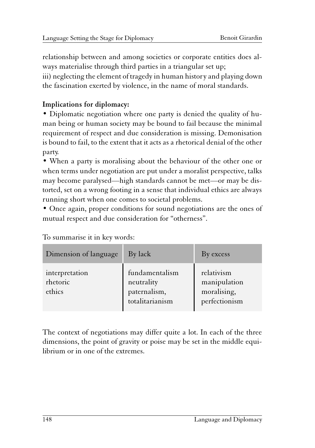relationship between and among societies or corporate entities does always materialise through third parties in a triangular set up; iii) neglecting the element of tragedy in human history and playing down the fascination exerted by violence, in the name of moral standards.

### Implications for diplomacy:

• Diplomatic negotiation where one party is denied the quality of human being or human society may be bound to fail because the minimal requirement of respect and due consideration is missing. Demonisation is bound to fail, to the extent that it acts as a rhetorical denial of the other party.

• When a party is moralising about the behaviour of the other one or when terms under negotiation are put under a moralist perspective, talks may become paralysed—high standards cannot be met—or may be distorted, set on a wrong footing in a sense that individual ethics are always running short when one comes to societal problems.

• Once again, proper conditions for sound negotiations are the ones of mutual respect and due consideration for "otherness".

| Dimension of language                | By lack                                                         | By excess                                                  |
|--------------------------------------|-----------------------------------------------------------------|------------------------------------------------------------|
| interpretation<br>rhetoric<br>ethics | fundamentalism<br>neutrality<br>paternalism,<br>totalitarianism | relativism<br>manipulation<br>moralising,<br>perfectionism |

To summarise it in key words:

The context of negotiations may differ quite a lot. In each of the three dimensions, the point of gravity or poise may be set in the middle equilibrium or in one of the extremes.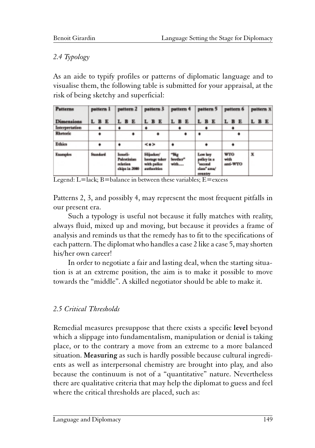#### 2.4 Typology

As an aide to typify profiles or patterns of diplomatic language and to visualise them, the following table is submitted for your appraisal, at the risk of being sketchy and superficial:

| <b>Patterns</b> | pattern 1       | pattern 2                                                   | pattern 3 pattern 4                                       |                 | pattern 5                                                      | pattern 6                      | pattern X |
|-----------------|-----------------|-------------------------------------------------------------|-----------------------------------------------------------|-----------------|----------------------------------------------------------------|--------------------------------|-----------|
| Dimensions      | L B E           | L B E                                                       | L B E                                                     | L B E           | L B E                                                          | L B E                          | L B E     |
| Interpretation  |                 | ٠                                                           |                                                           |                 |                                                                |                                |           |
| Rhetoric        |                 |                                                             |                                                           |                 | ٠                                                              |                                |           |
| <b>Ethies</b>   | ۰               | ٠                                                           | 48.99                                                     | ٠               |                                                                |                                |           |
| <b>Enamples</b> | <b>Standard</b> | Issaeli-<br><b>Palestinian</b><br>sclation<br>ships in 2080 | Hijasken'<br>hostage taker<br>with police<br>authorities. | brether"<br>win | Low key<br>policy in a<br>"succeed"<br>class" area/<br>country | <b>WTO</b><br>with<br>anti-WTO | x         |

Legend:  $L =$ lack;  $B =$ balance in between these variables;  $E =$ excess

Patterns 2, 3, and possibly 4, may represent the most frequent pitfalls in our present era.

Such a typology is useful not because it fully matches with reality, always fluid, mixed up and moving, but because it provides a frame of analysis and reminds us that the remedy has to fit to the specifications of each pattern. The diplomat who handles a case 2 like a case 5, may shorten his/her own career!

In order to negotiate a fair and lasting deal, when the starting situation is at an extreme position, the aim is to make it possible to move towards the "middle". A skilled negotiator should be able to make it.

# 2.5 Critical Thresholds

Remedial measures presuppose that there exists a specific level beyond which a slippage into fundamentalism, manipulation or denial is taking place, or to the contrary a move from an extreme to a more balanced situation. Measuring as such is hardly possible because cultural ingredients as well as interpersonal chemistry are brought into play, and also because the continuum is not of a "quantitative" nature. Nevertheless there are qualitative criteria that may help the diplomat to guess and feel where the critical thresholds are placed, such as: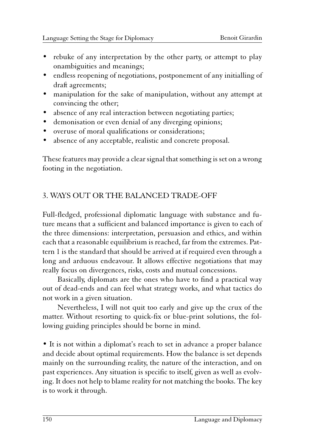- rebuke of any interpretation by the other party, or attempt to play onambiguities and meanings;
- endless reopening of negotiations, postponement of any initialling of draft agreements;
- manipulation for the sake of manipulation, without any attempt at convincing the other;
- absence of any real interaction between negotiating parties;
- demonisation or even denial of any diverging opinions;
- overuse of moral qualifications or considerations;
- absence of any acceptable, realistic and concrete proposal.

These features may provide a clear signal that something is set on a wrong footing in the negotiation.

# 3. WAYS OUT OR THE BALANCED TRADE-OFF

Full-fledged, professional diplomatic language with substance and future means that a sufficient and balanced importance is given to each of the three dimensions: interpretation, persuasion and ethics, and within each that a reasonable equilibrium is reached, far from the extremes. Pattern 1 is the standard that should be arrived at if required even through a long and arduous endeavour. It allows effective negotiations that may really focus on divergences, risks, costs and mutual concessions.

Basically, diplomats are the ones who have to find a practical way out of dead-ends and can feel what strategy works, and what tactics do not work in a given situation.

Nevertheless, I will not quit too early and give up the crux of the matter. Without resorting to quick-fix or blue-print solutions, the following guiding principles should be borne in mind.

• It is not within a diplomat's reach to set in advance a proper balance and decide about optimal requirements. How the balance is set depends mainly on the surrounding reality, the nature of the interaction, and on past experiences. Any situation is specific to itself, given as well as evolving. It does not help to blame reality for not matching the books. The key is to work it through.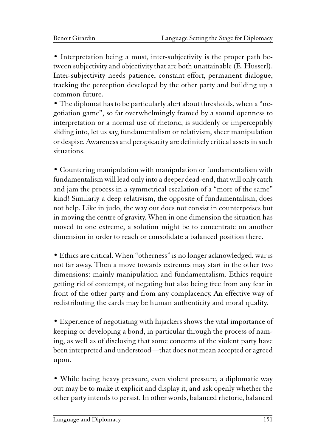• Interpretation being a must, inter-subjectivity is the proper path between subjectivity and objectivity that are both unattainable (E. Husserl). Inter-subjectivity needs patience, constant effort, permanent dialogue, tracking the perception developed by the other party and building up a common future.

• The diplomat has to be particularly alert about thresholds, when a "negotiation game", so far overwhelmingly framed by a sound openness to interpretation or a normal use of rhetoric, is suddenly or imperceptibly sliding into, let us say, fundamentalism or relativism, sheer manipulation or despise. Awareness and perspicacity are definitely critical assets in such situations.

• Countering manipulation with manipulation or fundamentalism with fundamentalism will lead only into a deeper dead-end, that will only catch and jam the process in a symmetrical escalation of a "more of the same" kind! Similarly a deep relativism, the opposite of fundamentalism, does not help. Like in judo, the way out does not consist in counterpoises but in moving the centre of gravity. When in one dimension the situation has moved to one extreme, a solution might be to concentrate on another dimension in order to reach or consolidate a balanced position there.

• Ethics are critical. When "otherness" is no longer acknowledged, war is not far away. Then a move towards extremes may start in the other two dimensions: mainly manipulation and fundamentalism. Ethics require getting rid of contempt, of negating but also being free from any fear in front of the other party and from any complacency. An effective way of redistributing the cards may be human authenticity and moral quality.

• Experience of negotiating with hijackers shows the vital importance of keeping or developing a bond, in particular through the process of naming, as well as of disclosing that some concerns of the violent party have been interpreted and understood—that does not mean accepted or agreed upon.

• While facing heavy pressure, even violent pressure, a diplomatic way out may be to make it explicit and display it, and ask openly whether the other party intends to persist. In other words, balanced rhetoric, balanced